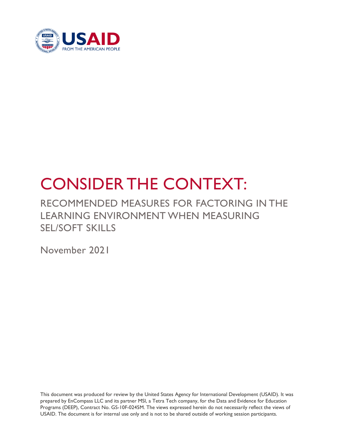

# CONSIDER THE CONTEXT:

## RECOMMENDED MEASURES FOR FACTORING IN THE LEARNING ENVIRONMENT WHEN MEASURING SEL/SOFT SKILLS

November 2021

This document was produced for review by the United States Agency for International Development (USAID). It was prepared by EnCompass LLC and its partner MSI, a Tetra Tech company, for the Data and Evidence for Education Programs (DEEP), Contract No. GS-10F-0245M. The views expressed herein do not necessarily reflect the views of USAID. The document is for internal use only and is not to be shared outside of working session participants.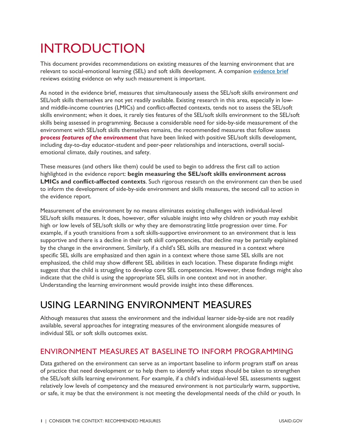## INTRODUCTION

This document provides recommendations on existing measures of the learning environment that are relevant to social-emotional learning (SEL) and soft skills development. A companion ev[idence](https://www.edu-links.org/resources/why-and-how-factor-environment-measuring-social-and-emotional-learning-and-soft-skills) brief reviews existing evidence on why such measurement is important.

As noted in the evidence brief, measures that simultaneously assess the SEL/soft skills environment *and* SEL/soft skills themselves are not yet readily available. Existing research in this area, especially in lowand middle-income countries (LMICs) and conflict-affected contexts, tends not to assess the SEL/soft skills environment; when it does, it rarely ties features of the SEL/soft skills environment to the SEL/soft skills being assessed in programming. Because a considerable need for side-by-side measurement of the environment with SEL/soft skills themselves remains, the recommended measures that follow assess *process features of the environment* that have been linked with positive SEL/soft skills development, including day-to-day educator-student and peer-peer relationships and interactions, overall socialemotional climate, daily routines, and safety.

These measures (and others like them) could be used to begin to address the first call to action highlighted in the evidence report: **begin measuring the SEL/soft skills environment across LMICs and conflict-affected contexts**. Such rigorous research on the environment can then be used to inform the development of side-by-side environment and skills measures, the second call to action in the evidence report.

Measurement of the environment by no means eliminates existing challenges with individual-level SEL/soft skills measures. It does, however, offer valuable insight into why children or youth may exhibit high or low levels of SEL/soft skills or why they are demonstrating little progression over time. For example, if a youth transitions from a soft skills-supportive environment to an environment that is less supportive and there is a decline in their soft skill competencies, that decline may be partially explained by the change in the environment. Similarly, if a child's SEL skills are measured in a context where specific SEL skills are emphasized and then again in a context where those same SEL skills are not emphasized, the child may show different SEL abilities in each location. These disparate findings might suggest that the child is struggling to develop core SEL competencies. However, these findings might also indicate that the child is using the appropriate SEL skills in one context and not in another. Understanding the learning environment would provide insight into these differences.

## USING LEARNING ENVIRONMENT MEASURES

Although measures that assess the environment and the individual learner side-by-side are not readily available, several approaches for integrating measures of the environment alongside measures of individual SEL or soft skills outcomes exist.

#### ENVIRONMENT MEASURES AT BASELINE TO INFORM PROGRAMMING

Data gathered on the environment can serve as an important baseline to inform program staff on areas of practice that need development or to help them to identify what steps should be taken to strengthen the SEL/soft skills learning environment. For example, if a child's individual-level SEL assessments suggest relatively low levels of competency and the measured environment is not particularly warm, supportive, or safe, it may be that the environment is not meeting the developmental needs of the child or youth. In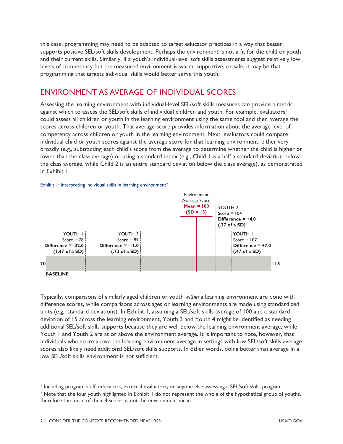this case, programming may need to be adapted to target educator practices in a way that better supports positive SEL/soft skills development. Perhaps the environment is not a fit for the child or youth and their current skills. Similarly, if a youth's individual-level soft skills assessments suggest relatively low levels of competency but the measured environment is warm, supportive, or safe, it may be that programming that targets individual skills would better serve this youth.

#### ENVIRONMENT AS AVERAGE OF INDIVIDUAL SCORES

Assessing the learning environment with individual-level SEL/soft skills measures can provide a metric against which to assess the SEL/soft skills of individual children and youth. For example, evaluators<sup>[1](#page-2-0)</sup> could assess all children or youth in the learning environment using the same tool and then average the scores across children or youth. That average score provides information about the average level of competency across children or youth in the learning environment. Next, evaluators could compare individual child or youth scores against the average score for that learning environment, either very broadly (e.g., subtracting each child's score from the average to determine whether the child is higher or lower than the class average) or using a standard index (e.g., Child I is a half a standard deviation below the class average, while Child 2 is an entire standard deviation below the class average), as demonstrated in Exhibit 1.

#### Exhibit 1: Interpreting individual skills in learning environment<sup>[2](#page-2-1)</sup>



Typically, comparisons of similarly aged children or youth *within* a learning environment are done with difference scores, while comparisons across ages or learning environments are made using standardized units (e.g., standard deviations). In Exhibit 1, assuming a SEL/soft skills average of 100 and a standard deviation of 15 across the learning environment, Youth 3 and Youth 4 might be identified as needing additional SEL/soft skills supports because they are well below the learning environment average, while Youth 1 and Youth 2 are at or above the environment average. It is important to note, however, that individuals who score above the learning environment average in settings with low SEL/soft skills average scores also likely need additional SEL/soft skills supports. In other words, doing better than average in a low SEL/soft skills environment is not sufficient.

<span id="page-2-0"></span><sup>1</sup> Including program staff, educators, external evaluators, or anyone else assessing a SEL/soft skills program.

<span id="page-2-1"></span><sup>&</sup>lt;sup>2</sup> Note that the four youth highlighted in Exhibit 1 do not represent the whole of the hypothetical group of youths, therefore the mean of their 4 scores is not the environment mean.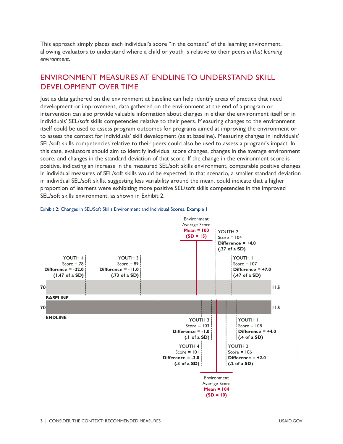This approach simply places each individual's score "in the context" of the learning environment, allowing evaluators to understand where a child or youth is relative to their peers *in that learning environment*.

#### ENVIRONMENT MEASURES AT ENDLINE TO UNDERSTAND SKILL DEVELOPMENT OVER TIME

Just as data gathered on the environment at baseline can help identify areas of practice that need development or improvement, data gathered on the environment at the end of a program or intervention can also provide valuable information about changes in either the environment itself or in individuals' SEL/soft skills competencies relative to their peers. Measuring changes to the environment itself could be used to assess program outcomes for programs aimed at improving the environment or to assess the context for individuals' skill development (as at baseline). Measuring changes in individuals' SEL/soft skills competencies relative to their peers could also be used to assess a program's impact. In this case, evaluators should aim to identify individual score changes, changes in the average environment score, and changes in the standard deviation of that score. If the change in the environment score is positive, indicating an increase in the measured SEL/soft skills environment, comparable positive changes in individual measures of SEL/soft skills would be expected. In that scenario, a smaller standard deviation in individual SEL/soft skills, suggesting less variability around the mean, could indicate that a higher proportion of learners were exhibiting more positive SEL/soft skills competencies in the improved SEL/soft skills environment, as shown in Exhibit 2.



#### Exhibit 2: Changes in SEL/Soft Skills Environment and Individual Scores, Example 1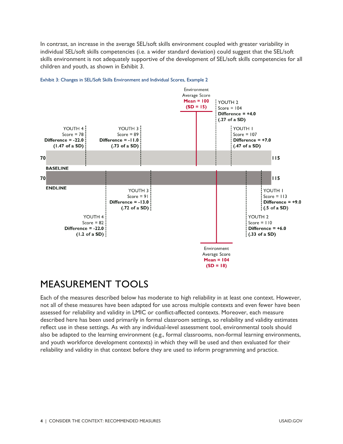In contrast, an increase in the average SEL/soft skills environment coupled with greater variability in individual SEL/soft skills competencies (i.e. a wider standard deviation) could suggest that the SEL/soft skills environment is not adequately supportive of the development of SEL/soft skills competencies for all children and youth, as shown in Exhibit 3.





### MEASUREMENT TOOLS

Each of the measures described below has moderate to high reliability in at least one context. However, not all of these measures have been adapted for use across multiple contexts and even fewer have been assessed for reliability and validity in LMIC or conflict-affected contexts. Moreover, each measure described here has been used primarily in formal classroom settings, so reliability and validity estimates reflect use in these settings. As with any individual-level assessment tool, environmental tools should also be adapted to the learning environment (e.g., formal classrooms, non-formal learning environments, and youth workforce development contexts) in which they will be used and then evaluated for their reliability and validity in that context before they are used to inform programming and practice.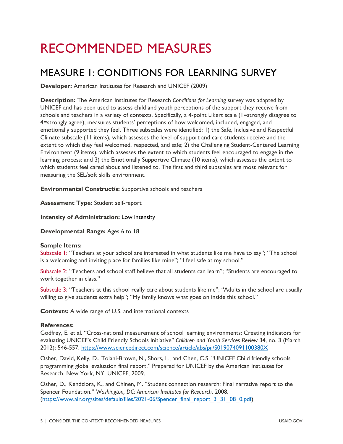## RECOMMENDED MEASURES

### MEASURE 1: CONDITIONS FOR LEARNING SURVEY

**Developer:** American Institutes for Research and UNICEF (2009)

**Description:** The American Institutes for Research *Conditions for Learning* survey was adapted by UNICEF and has been used to assess child and youth perceptions of the support they receive from schools and teachers in a variety of contexts. Specifically, a 4-point Likert scale (1=strongly disagree to 4=strongly agree), measures students' perceptions of how welcomed, included, engaged, and emotionally supported they feel. Three subscales were identified: 1) the Safe, Inclusive and Respectful Climate subscale (11 items), which assesses the level of support and care students receive and the extent to which they feel welcomed, respected, and safe; 2) the Challenging Student-Centered Learning Environment (9 items), which assesses the extent to which students feel encouraged to engage in the learning process; and 3) the Emotionally Supportive Climate (10 items), which assesses the extent to which students feel cared about and listened to. The first and third subscales are most relevant for measuring the SEL/soft skills environment.

**Environmental Construct/s:** Supportive schools and teachers

**Assessment Type:** Student self-report

**Intensity of Administration:** Low intensity

**Developmental Range:** Ages 6 to 18

#### **Sample Items:**

Subscale 1: "Teachers at your school are interested in what students like me have to say"; "The school is a welcoming and inviting place for families like mine"; "I feel safe at my school."

Subscale 2: "Teachers and school staff believe that all students can learn"; "Students are encouraged to work together in class."

Subscale 3: "Teachers at this school really care about students like me"; "Adults in the school are usually willing to give students extra help"; "My family knows what goes on inside this school."

**Contexts:** A wide range of U.S. and international contexts

#### **References:**

Godfrey, E. et al. "Cross-national measurement of school learning environments: Creating indicators for evaluating UNICEF's Child Friendly Schools Initiative" *Children and Youth Services Review* 34, no. 3 (March 2012): 546-557.<https://www.sciencedirect.com/science/article/abs/pii/S019074091100380X>

Osher, David, Kelly, D., Tolani-Brown, N., Shors, L., and Chen, C.S. "UNICEF Child friendly schools programming global evaluation final report." Prepared for UNICEF by the American Institutes for Research. New York, NY: UNICEF, 2009.

Osher, D., Kendziora, K., and Chinen, M. "Student connection research: Final narrative report to the Spencer Foundation." *Washington, DC: American Institutes for Research*, 2008. ([https://www.air.org/sites/default/files/2021-06/Spencer\\_final\\_report\\_3\\_31\\_08\\_0.pdf](https://www.air.org/sites/default/files/2021-06/Spencer_final_report_3_31_08_0.pdf))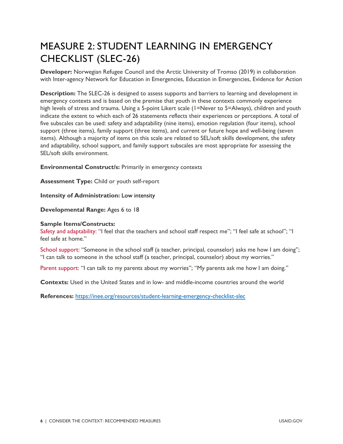## MEASURE 2: STUDENT LEARNING IN EMERGENCY CHECKLIST (SLEC-26)

**Developer:** Norwegian Refugee Council and the Arctic University of Tromso (2019) in collaboration with Inter-agency Network for Education in Emergencies, Education in Emergencies, Evidence for Action

**Description:** The SLEC-26 is designed to assess supports and barriers to learning and development in emergency contexts and is based on the premise that youth in these contexts commonly experience high levels of stress and trauma. Using a 5-point Likert scale (1=Never to 5=Always), children and youth indicate the extent to which each of 26 statements reflects their experiences or perceptions. A total of five subscales can be used: safety and adaptability (nine items), emotion regulation (four items), school support (three items), family support (three items), and current or future hope and well-being (seven items). Although a majority of items on this scale are related to SEL/soft skills development, the safety and adaptability, school support, and family support subscales are most appropriate for assessing the SEL/soft skills environment.

**Environmental Construct/s:** Primarily in emergency contexts

**Assessment Type:** Child or youth self-report

**Intensity of Administration:** Low intensity

**Developmental Range:** Ages 6 to 18

#### **Sample Items/Constructs:**

Safety and adaptability: "I feel that the teachers and school staff respect me"; "I feel safe at school"; "I feel safe at home."

School support: "Someone in the school staff (a teacher, principal, counselor) asks me how I am doing"; "I can talk to someone in the school staff (a teacher, principal, counselor) about my worries."

Parent support: "I can talk to my parents about my worries"; "My parents ask me how I am doing."

**Contexts:** Used in the United States and in low- and middle-income countries around the world

**References:** <https://inee.org/resources/student-learning-emergency-checklist-slec>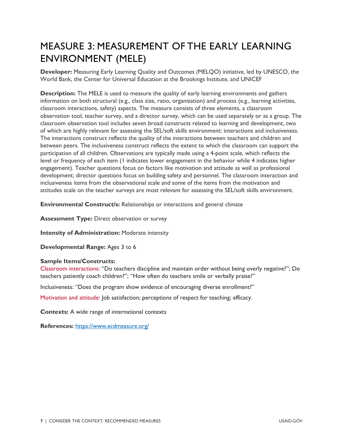## MEASURE 3: MEASUREMENT OF THE EARLY LEARNING ENVIRONMENT (MELE)

**Developer:** Measuring Early Learning Quality and Outcomes *(*MELQO) initiative, led by UNESCO, the World Bank, the Center for Universal Education at the Brookings Institute, and UNICEF

**Description:** The MELE is used to measure the quality of early learning environments and gathers information on both structural (e.g., class size, ratio, organization) and process (e.g., learning activities, classroom interactions, safety) aspects. The measure consists of three elements, a classroom observation tool, teacher survey, and a director survey, which can be used separately or as a group. The classroom observation tool includes seven broad constructs related to learning and development, two of which are highly relevant for assessing the SEL/soft skills environment: interactions and inclusiveness. The interactions construct reflects the quality of the interactions between teachers and children and between peers. The inclusiveness construct reflects the extent to which the classroom can support the participation of all children. Observations are typically made using a 4-point scale, which reflects the level or frequency of each item (1 indicates lower engagement in the behavior while 4 indicates higher engagement). Teacher questions focus on factors like motivation and attitude as well as professional development; director questions focus on building safety and personnel. The classroom interaction and inclusiveness items from the observational scale and some of the items from the motivation and attitudes scale on the teacher surveys are most relevant for assessing the SEL/soft skills environment.

**Environmental Construct/s:** Relationships or interactions and general climate

**Assessment Type:** Direct observation or survey

**Intensity of Administration:** Moderate intensity

**Developmental Range:** Ages 3 to 6

#### **Sample Items/Constructs:**

Classroom interactions: "Do teachers discipline and maintain order without being overly negative?"; Do teachers patiently coach children?"; "How often do teachers smile or verbally praise?"

Inclusiveness: "Does the program show evidence of encouraging diverse enrollment?"

Motivation and attitude: Job satisfaction; perceptions of respect for teaching; efficacy.

**Contexts:** A wide range of international contexts

**References:** <https://www.ecdmeasure.org/>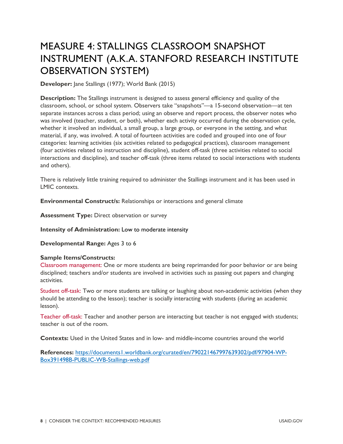## MEASURE 4: STALLINGS CLASSROOM SNAPSHOT INSTRUMENT (A.K.A. STANFORD RESEARCH INSTITUTE OBSERVATION SYSTEM)

**Developer:** Jane Stallings (1977); World Bank (2015)

**Description:** The Stallings instrument is designed to assess general efficiency and quality of the classroom, school, or school system. Observers take "snapshots"—a 15-second observation—at ten separate instances across a class period; using an observe and report process, the observer notes who was involved (teacher, student, or both), whether each activity occurred during the observation cycle, whether it involved an individual, a small group, a large group, or everyone in the setting, and what material, if any, was involved. A total of fourteen activities are coded and grouped into one of four categories: learning activities (six activities related to pedagogical practices), classroom management (four activities related to instruction and discipline), student off-task (three activities related to social interactions and discipline), and teacher off-task (three items related to social interactions with students and others).

There is relatively little training required to administer the Stallings instrument and it has been used in LMIC contexts.

**Environmental Construct/s:** Relationships or interactions and general climate

**Assessment Type: Direct observation or survey** 

**Intensity of Administration:** Low to moderate intensity

**Developmental Range:** Ages 3 to 6

#### **Sample Items/Constructs:**

Classroom management: One or more students are being reprimanded for poor behavior or are being disciplined; teachers and/or students are involved in activities such as passing out papers and changing activities.

Student off-task: Two or more students are talking or laughing about non-academic activities (when they should be attending to the lesson); teacher is socially interacting with students (during an academic lesson).

Teacher off-task: Teacher and another person are interacting but teacher is not engaged with students; teacher is out of the room.

**Contexts:** Used in the United States and in low- and middle-income countries around the world

**References:** [https://documents1.worldbank.org/curated/en/790221467997639302/pdf/97904-WP-](https://documents1.worldbank.org/curated/en/790221467997639302/pdf/97904-WP-Box391498B-PUBLIC-WB-Stallings-web.pdf)[Box391498B-PUBLIC-WB-Stallings-web.pdf](https://documents1.worldbank.org/curated/en/790221467997639302/pdf/97904-WP-Box391498B-PUBLIC-WB-Stallings-web.pdf)